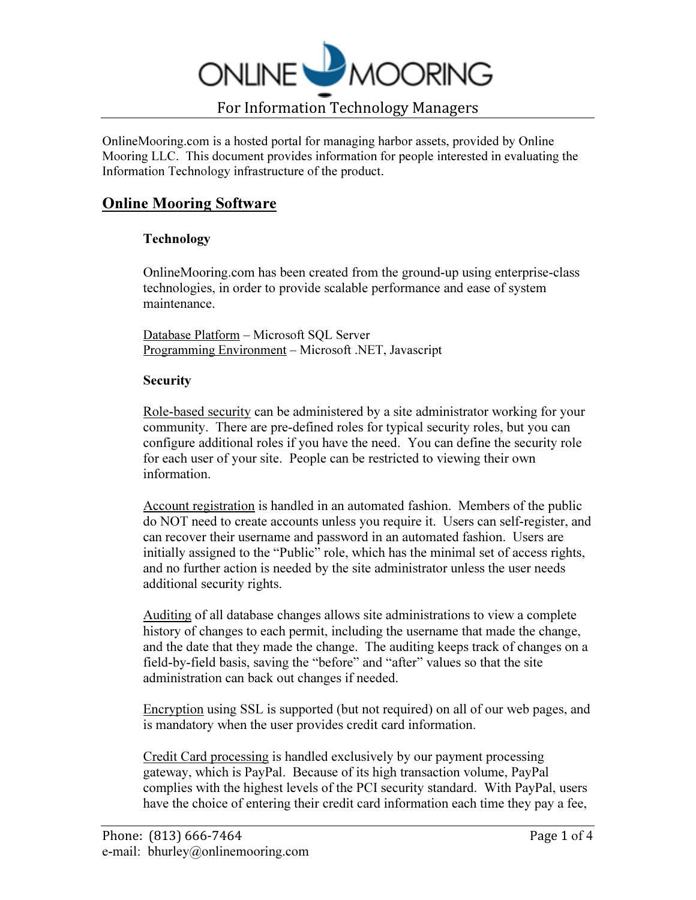

OnlineMooring.com is a hosted portal for managing harbor assets, provided by Online Mooring LLC. This document provides information for people interested in evaluating the Information Technology infrastructure of the product.

# Online Mooring Software

## Technology

OnlineMooring.com has been created from the ground-up using enterprise-class technologies, in order to provide scalable performance and ease of system maintenance.

Database Platform – Microsoft SQL Server Programming Environment – Microsoft .NET, Javascript

## **Security**

Role-based security can be administered by a site administrator working for your community. There are pre-defined roles for typical security roles, but you can configure additional roles if you have the need. You can define the security role for each user of your site. People can be restricted to viewing their own information.

Account registration is handled in an automated fashion. Members of the public do NOT need to create accounts unless you require it. Users can self-register, and can recover their username and password in an automated fashion. Users are initially assigned to the "Public" role, which has the minimal set of access rights, and no further action is needed by the site administrator unless the user needs additional security rights.

Auditing of all database changes allows site administrations to view a complete history of changes to each permit, including the username that made the change, and the date that they made the change. The auditing keeps track of changes on a field-by-field basis, saving the "before" and "after" values so that the site administration can back out changes if needed.

Encryption using SSL is supported (but not required) on all of our web pages, and is mandatory when the user provides credit card information.

Credit Card processing is handled exclusively by our payment processing gateway, which is PayPal. Because of its high transaction volume, PayPal complies with the highest levels of the PCI security standard. With PayPal, users have the choice of entering their credit card information each time they pay a fee,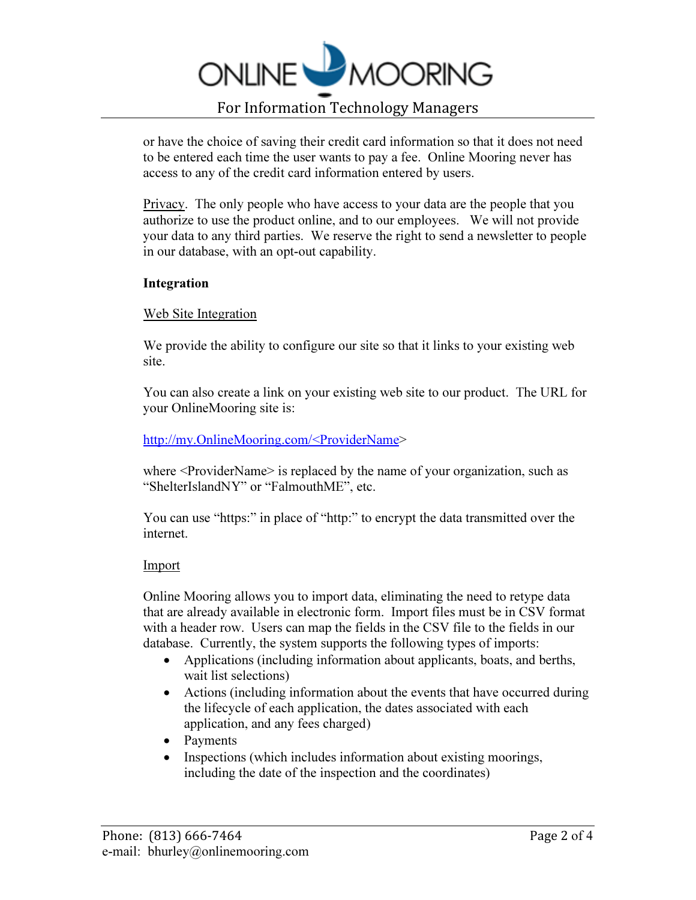

or have the choice of saving their credit card information so that it does not need to be entered each time the user wants to pay a fee. Online Mooring never has access to any of the credit card information entered by users.

Privacy. The only people who have access to your data are the people that you authorize to use the product online, and to our employees. We will not provide your data to any third parties. We reserve the right to send a newsletter to people in our database, with an opt-out capability.

#### Integration

#### Web Site Integration

We provide the ability to configure our site so that it links to your existing web site.

You can also create a link on your existing web site to our product. The URL for your OnlineMooring site is:

## http://my.OnlineMooring.com/<ProviderName>

where  $\leq$  ProviderName $\geq$  is replaced by the name of your organization, such as "ShelterIslandNY" or "FalmouthME", etc.

You can use "https:" in place of "http:" to encrypt the data transmitted over the internet.

#### Import

Online Mooring allows you to import data, eliminating the need to retype data that are already available in electronic form. Import files must be in CSV format with a header row. Users can map the fields in the CSV file to the fields in our database. Currently, the system supports the following types of imports:

- Applications (including information about applicants, boats, and berths, wait list selections)
- Actions (including information about the events that have occurred during the lifecycle of each application, the dates associated with each application, and any fees charged)
- Payments
- Inspections (which includes information about existing moorings, including the date of the inspection and the coordinates)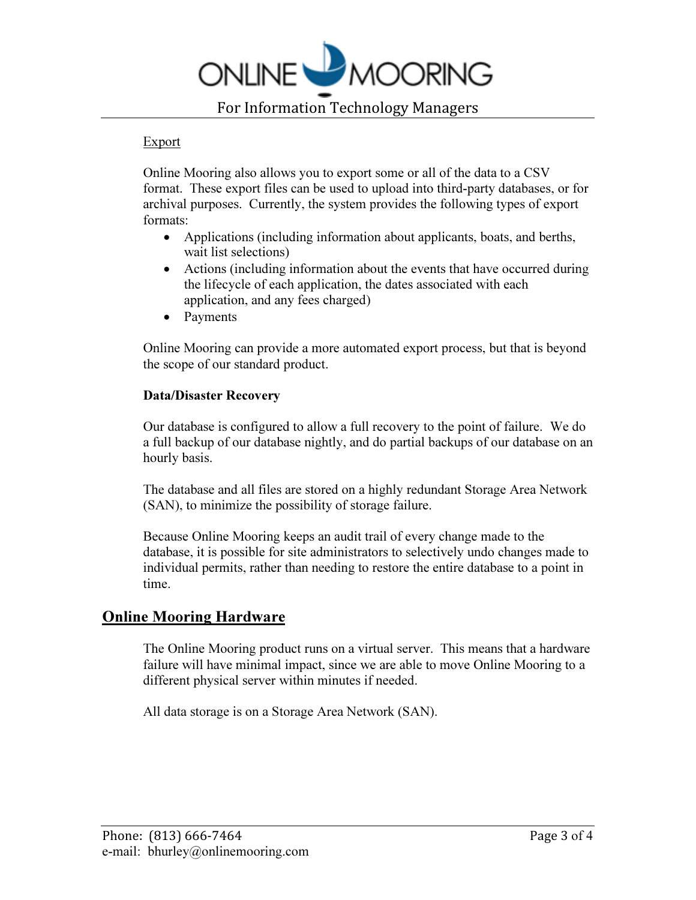

### Export

Online Mooring also allows you to export some or all of the data to a CSV format. These export files can be used to upload into third-party databases, or for archival purposes. Currently, the system provides the following types of export formats:

- Applications (including information about applicants, boats, and berths, wait list selections)
- Actions (including information about the events that have occurred during the lifecycle of each application, the dates associated with each application, and any fees charged)
- Payments

Online Mooring can provide a more automated export process, but that is beyond the scope of our standard product.

## Data/Disaster Recovery

Our database is configured to allow a full recovery to the point of failure. We do a full backup of our database nightly, and do partial backups of our database on an hourly basis.

The database and all files are stored on a highly redundant Storage Area Network (SAN), to minimize the possibility of storage failure.

Because Online Mooring keeps an audit trail of every change made to the database, it is possible for site administrators to selectively undo changes made to individual permits, rather than needing to restore the entire database to a point in time.

## Online Mooring Hardware

The Online Mooring product runs on a virtual server. This means that a hardware failure will have minimal impact, since we are able to move Online Mooring to a different physical server within minutes if needed.

All data storage is on a Storage Area Network (SAN).